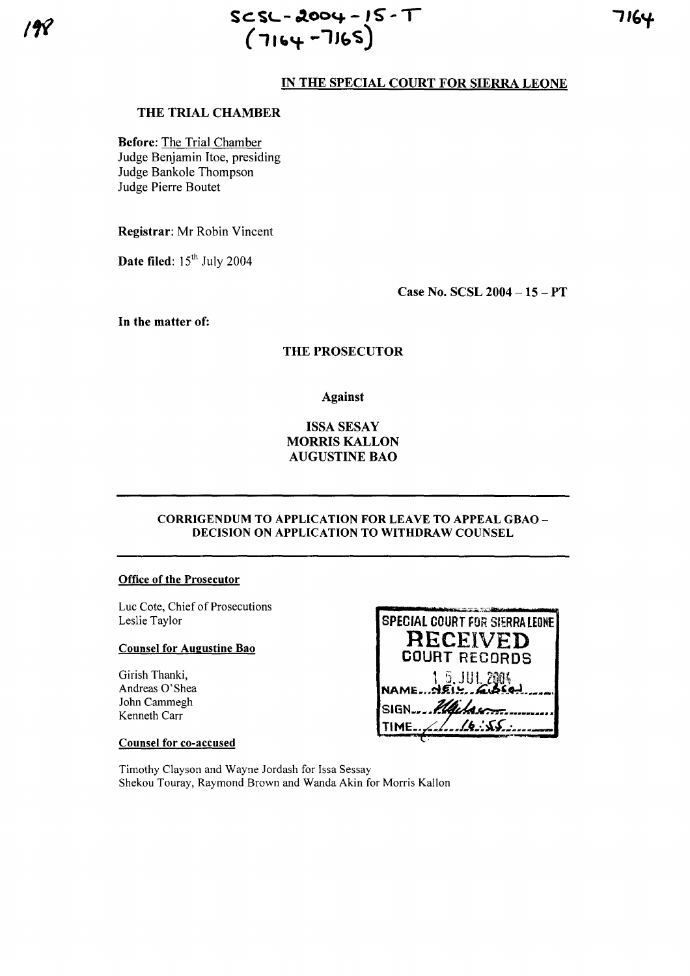# IN THE SPECIAL COURT FOR SIERRA LEONE

## THE TRIAL CHAMBER

**Before:** The Trial Chamber Judge Benjamin Itoe, presiding Judge Bankole Thompson Judge Pierre Boutet

Registrar: Mr Robin Vincent

Date filed:  $15<sup>th</sup>$  July 2004

Case No. SCSL 2004 - 15 - PT

In the matter of:

## **THE PROSECUTOR**

**Against** 

### **ISSA SESAY MORRIS KALLON AUGUSTINE BAO**

#### **CORRIGENDUM TO APPLICATION FOR LEAVE TO APPEAL GBAO -**DECISION ON APPLICATION TO WITHDRAW COUNSEL

#### **Office of the Prosecutor**

Luc Cote, Chief of Prosecutions Leslie Taylor

### **Counsel for Augustine Bao**

Girish Thanki, Andreas O'Shea John Cammegh Kenneth Carr

| <b>SPECIAL COURT FOR SIERRA LEONE</b> |
|---------------------------------------|
| RECEIVED                              |
| <b>COURT RECORDS</b>                  |
| $15.0012004$<br>NAME AEIS ASSAI       |
| SIGN  Plack                           |
| <u>///b.\SS</u><br>TIME               |
|                                       |

mata tubbers

#### **Counsel for co-accused**

Timothy Clayson and Wayne Jordash for Issa Sessay Shekou Touray, Raymond Brown and Wanda Akin for Morris Kallon